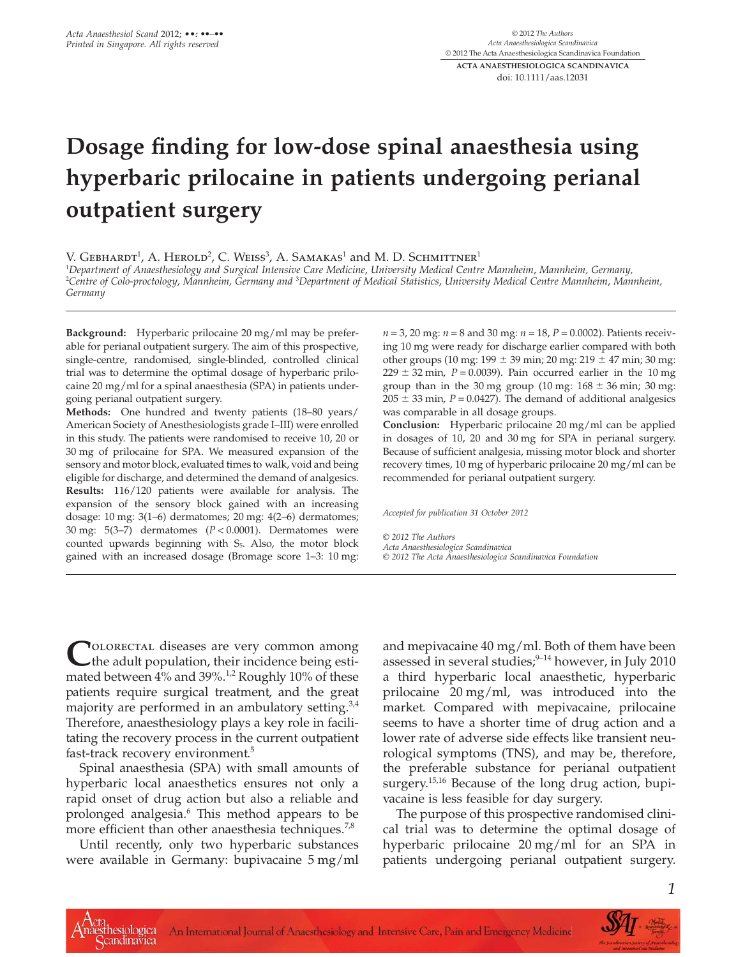# **Dosage finding for low-dose spinal anaesthesia using hyperbaric prilocaine in patients undergoing perianal outpatient surgery**

V. GEBHARDT<sup>1</sup>, A. HEROLD<sup>2</sup>, C. WEISS<sup>3</sup>, A. SAMAKAS<sup>1</sup> and M. D. SCHMITTNER<sup>1</sup>

1 *Department of Anaesthesiology and Surgical Intensive Care Medicine*, *University Medical Centre Mannheim*, *Mannheim, Germany,* 2 *Centre of Colo-proctology*, *Mannheim, Germany and* <sup>3</sup> *Department of Medical Statistics*, *University Medical Centre Mannheim*, *Mannheim, Germany*

**Background:** Hyperbaric prilocaine 20 mg/ml may be preferable for perianal outpatient surgery. The aim of this prospective, single-centre, randomised, single-blinded, controlled clinical trial was to determine the optimal dosage of hyperbaric prilocaine 20 mg/ml for a spinal anaesthesia (SPA) in patients undergoing perianal outpatient surgery.

**Methods:** One hundred and twenty patients (18–80 years/ American Society of Anesthesiologists grade I–III) were enrolled in this study. The patients were randomised to receive 10, 20 or 30 mg of prilocaine for SPA. We measured expansion of the sensory and motor block, evaluated times to walk, void and being eligible for discharge, and determined the demand of analgesics. **Results:** 116/120 patients were available for analysis. The expansion of the sensory block gained with an increasing dosage: 10 mg: 3(1–6) dermatomes; 20 mg: 4(2–6) dermatomes; 30 mg: 5(3–7) dermatomes (*P* < 0.0001). Dermatomes were counted upwards beginning with  $S<sub>5</sub>$ . Also, the motor block gained with an increased dosage (Bromage score 1–3: 10 mg: *n* = 3, 20 mg: *n* = 8 and 30 mg: *n* = 18, *P* = 0.0002). Patients receiving 10 mg were ready for discharge earlier compared with both other groups (10 mg: 199  $\pm$  39 min; 20 mg: 219  $\pm$  47 min; 30 mg:  $229 \pm 32$  min,  $P = 0.0039$ ). Pain occurred earlier in the 10 mg group than in the 30 mg group  $(10 \text{ mg} : 168 \pm 36 \text{ min} ; 30 \text{ mg})$  $205 \pm 33$  min,  $P = 0.0427$ ). The demand of additional analgesics was comparable in all dosage groups.

**Conclusion:** Hyperbaric prilocaine 20 mg/ml can be applied in dosages of 10, 20 and 30 mg for SPA in perianal surgery. Because of sufficient analgesia, missing motor block and shorter recovery times, 10 mg of hyperbaric prilocaine 20 mg/ml can be recommended for perianal outpatient surgery.

*Accepted for publication 31 October 2012*

*© 2012 The Authors Acta Anaesthesiologica Scandinavica*

*© 2012 The Acta Anaesthesiologica Scandinavica Foundation*

COLORECTAL diseases are very common among<br>the adult population, their incidence being esti-<br>moted between 4% and 20%<sup>-12</sup> Benebbe 10%-15 there mated between 4% and 39%.<sup>1,2</sup> Roughly 10% of these patients require surgical treatment, and the great majority are performed in an ambulatory setting.<sup>3,4</sup> Therefore, anaesthesiology plays a key role in facilitating the recovery process in the current outpatient fast-track recovery environment.<sup>5</sup>

Spinal anaesthesia (SPA) with small amounts of hyperbaric local anaesthetics ensures not only a rapid onset of drug action but also a reliable and prolonged analgesia.<sup>6</sup> This method appears to be more efficient than other anaesthesia techniques.<sup>7,8</sup>

Until recently, only two hyperbaric substances were available in Germany: bupivacaine 5 mg/ml

and mepivacaine 40 mg/ml. Both of them have been assessed in several studies; $9-14$  however, in July 2010 a third hyperbaric local anaesthetic, hyperbaric prilocaine 20 mg/ml, was introduced into the market. Compared with mepivacaine, prilocaine seems to have a shorter time of drug action and a lower rate of adverse side effects like transient neurological symptoms (TNS), and may be, therefore, the preferable substance for perianal outpatient surgery.<sup>15,16</sup> Because of the long drug action, bupivacaine is less feasible for day surgery.

The purpose of this prospective randomised clinical trial was to determine the optimal dosage of hyperbaric prilocaine 20 mg/ml for an SPA in patients undergoing perianal outpatient surgery.



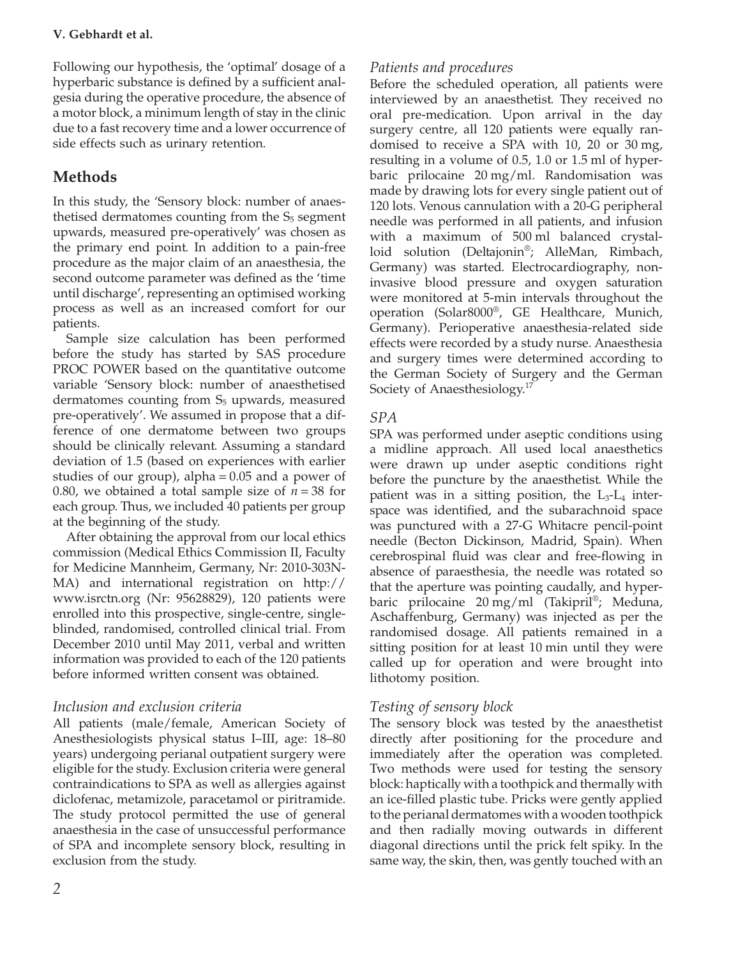Following our hypothesis, the 'optimal' dosage of a hyperbaric substance is defined by a sufficient analgesia during the operative procedure, the absence of a motor block, a minimum length of stay in the clinic due to a fast recovery time and a lower occurrence of side effects such as urinary retention.

# **Methods**

In this study, the 'Sensory block: number of anaesthetised dermatomes counting from the  $S_5$  segment upwards, measured pre-operatively' was chosen as the primary end point. In addition to a pain-free procedure as the major claim of an anaesthesia, the second outcome parameter was defined as the 'time until discharge', representing an optimised working process as well as an increased comfort for our patients.

Sample size calculation has been performed before the study has started by SAS procedure PROC POWER based on the quantitative outcome variable 'Sensory block: number of anaesthetised dermatomes counting from  $S<sub>5</sub>$  upwards, measured pre-operatively'. We assumed in propose that a difference of one dermatome between two groups should be clinically relevant. Assuming a standard deviation of 1.5 (based on experiences with earlier studies of our group), alpha = 0.05 and a power of 0.80, we obtained a total sample size of  $n = 38$  for each group. Thus, we included 40 patients per group at the beginning of the study.

After obtaining the approval from our local ethics commission (Medical Ethics Commission II, Faculty for Medicine Mannheim, Germany, Nr: 2010-303N-MA) and international registration on http:// www.isrctn.org (Nr: 95628829), 120 patients were enrolled into this prospective, single-centre, singleblinded, randomised, controlled clinical trial. From December 2010 until May 2011, verbal and written information was provided to each of the 120 patients before informed written consent was obtained.

# *Inclusion and exclusion criteria*

All patients (male/female, American Society of Anesthesiologists physical status I–III, age: 18–80 years) undergoing perianal outpatient surgery were eligible for the study. Exclusion criteria were general contraindications to SPA as well as allergies against diclofenac, metamizole, paracetamol or piritramide. The study protocol permitted the use of general anaesthesia in the case of unsuccessful performance of SPA and incomplete sensory block, resulting in exclusion from the study.

# *Patients and procedures*

Before the scheduled operation, all patients were interviewed by an anaesthetist. They received no oral pre-medication. Upon arrival in the day surgery centre, all 120 patients were equally randomised to receive a SPA with 10, 20 or 30 mg, resulting in a volume of 0.5, 1.0 or 1.5 ml of hyperbaric prilocaine 20 mg/ml. Randomisation was made by drawing lots for every single patient out of 120 lots. Venous cannulation with a 20-G peripheral needle was performed in all patients, and infusion with a maximum of 500 ml balanced crystalloid solution (Deltajonin®; AlleMan, Rimbach, Germany) was started. Electrocardiography, noninvasive blood pressure and oxygen saturation were monitored at 5-min intervals throughout the operation (Solar8000®, GE Healthcare, Munich, Germany). Perioperative anaesthesia-related side effects were recorded by a study nurse. Anaesthesia and surgery times were determined according to the German Society of Surgery and the German Society of Anaesthesiology.<sup>17</sup>

# *SPA*

SPA was performed under aseptic conditions using a midline approach. All used local anaesthetics were drawn up under aseptic conditions right before the puncture by the anaesthetist. While the patient was in a sitting position, the  $L_3-L_4$  interspace was identified, and the subarachnoid space was punctured with a 27-G Whitacre pencil-point needle (Becton Dickinson, Madrid, Spain). When cerebrospinal fluid was clear and free-flowing in absence of paraesthesia, the needle was rotated so that the aperture was pointing caudally, and hyperbaric prilocaine 20 mg/ml (Takipril®; Meduna, Aschaffenburg, Germany) was injected as per the randomised dosage. All patients remained in a sitting position for at least 10 min until they were called up for operation and were brought into lithotomy position.

# *Testing of sensory block*

The sensory block was tested by the anaesthetist directly after positioning for the procedure and immediately after the operation was completed. Two methods were used for testing the sensory block: haptically with a toothpick and thermally with an ice-filled plastic tube. Pricks were gently applied to the perianal dermatomes with a wooden toothpick and then radially moving outwards in different diagonal directions until the prick felt spiky. In the same way, the skin, then, was gently touched with an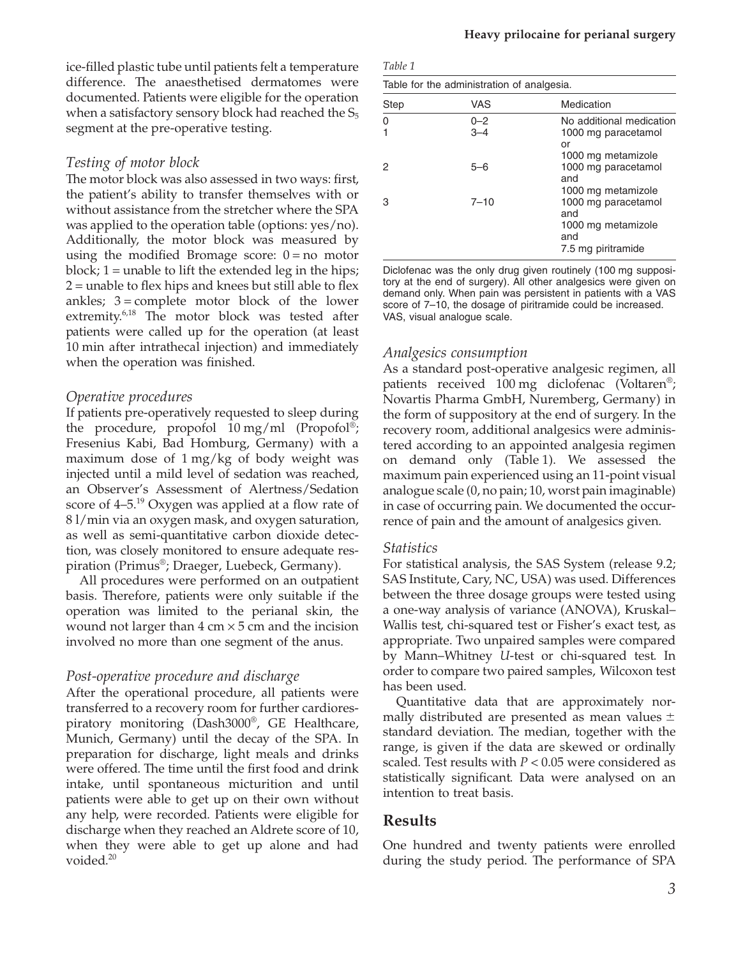ice-filled plastic tube until patients felt a temperature difference. The anaesthetised dermatomes were documented. Patients were eligible for the operation when a satisfactory sensory block had reached the  $S_5$ segment at the pre-operative testing.

## *Testing of motor block*

The motor block was also assessed in two ways: first, the patient's ability to transfer themselves with or without assistance from the stretcher where the SPA was applied to the operation table (options: yes/no). Additionally, the motor block was measured by using the modified Bromage score:  $0 = no motor$ block;  $1 =$  unable to lift the extended leg in the hips;  $2 =$  unable to flex hips and knees but still able to flex ankles;  $3 =$  complete motor block of the lower extremity.<sup>6,18</sup> The motor block was tested after patients were called up for the operation (at least 10 min after intrathecal injection) and immediately when the operation was finished.

### *Operative procedures*

If patients pre-operatively requested to sleep during the procedure, propofol 10 mg/ml (Propofol®; Fresenius Kabi, Bad Homburg, Germany) with a maximum dose of 1 mg/kg of body weight was injected until a mild level of sedation was reached, an Observer's Assessment of Alertness/Sedation score of 4–5.<sup>19</sup> Oxygen was applied at a flow rate of 8 l/min via an oxygen mask, and oxygen saturation, as well as semi-quantitative carbon dioxide detection, was closely monitored to ensure adequate respiration (Primus®; Draeger, Luebeck, Germany).

All procedures were performed on an outpatient basis. Therefore, patients were only suitable if the operation was limited to the perianal skin, the wound not larger than  $4 \text{ cm} \times 5 \text{ cm}$  and the incision involved no more than one segment of the anus.

## *Post-operative procedure and discharge*

After the operational procedure, all patients were transferred to a recovery room for further cardiorespiratory monitoring (Dash3000®, GE Healthcare, Munich, Germany) until the decay of the SPA. In preparation for discharge, light meals and drinks were offered. The time until the first food and drink intake, until spontaneous micturition and until patients were able to get up on their own without any help, were recorded. Patients were eligible for discharge when they reached an Aldrete score of 10, when they were able to get up alone and had voided.<sup>20</sup>

| Table for the administration of analgesia. |          |                                                  |  |  |  |
|--------------------------------------------|----------|--------------------------------------------------|--|--|--|
| Step                                       | VAS      | Medication                                       |  |  |  |
| $\Omega$                                   | $0 - 2$  | No additional medication                         |  |  |  |
|                                            | $3 - 4$  | 1000 mg paracetamol<br>or<br>1000 mg metamizole  |  |  |  |
| 2                                          | $5 - 6$  | 1000 mg paracetamol<br>and                       |  |  |  |
| З                                          | $7 - 10$ | 1000 mg metamizole<br>1000 mg paracetamol<br>and |  |  |  |
|                                            |          | 1000 mg metamizole<br>and<br>7.5 mg piritramide  |  |  |  |

Diclofenac was the only drug given routinely (100 mg suppository at the end of surgery). All other analgesics were given on demand only. When pain was persistent in patients with a VAS score of 7–10, the dosage of piritramide could be increased. VAS, visual analogue scale.

## *Analgesics consumption*

As a standard post-operative analgesic regimen, all patients received 100 mg diclofenac (Voltaren®; Novartis Pharma GmbH, Nuremberg, Germany) in the form of suppository at the end of surgery. In the recovery room, additional analgesics were administered according to an appointed analgesia regimen on demand only (Table 1). We assessed the maximum pain experienced using an 11-point visual analogue scale (0, no pain; 10, worst pain imaginable) in case of occurring pain. We documented the occurrence of pain and the amount of analgesics given.

### *Statistics*

For statistical analysis, the SAS System (release 9.2; SAS Institute, Cary, NC, USA) was used. Differences between the three dosage groups were tested using a one-way analysis of variance (ANOVA), Kruskal– Wallis test, chi-squared test or Fisher's exact test, as appropriate. Two unpaired samples were compared by Mann–Whitney *U*-test or chi-squared test. In order to compare two paired samples, Wilcoxon test has been used.

Quantitative data that are approximately normally distributed are presented as mean values  $\pm$ standard deviation. The median, together with the range, is given if the data are skewed or ordinally scaled. Test results with *P* < 0.05 were considered as statistically significant. Data were analysed on an intention to treat basis.

# **Results**

One hundred and twenty patients were enrolled during the study period. The performance of SPA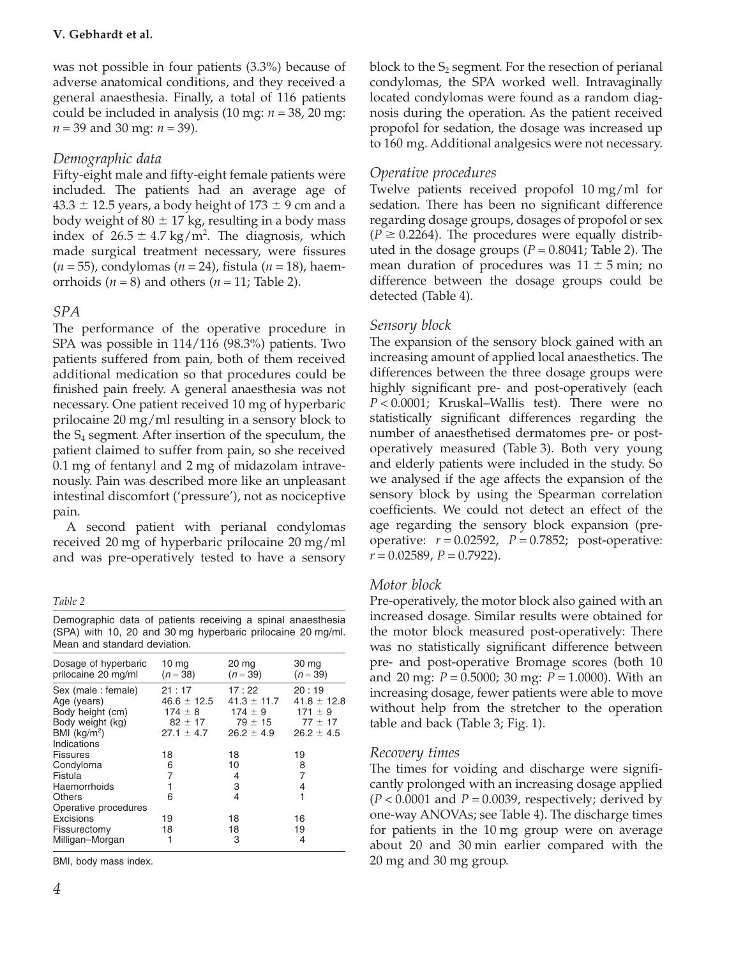was not possible in four patients (3.3%) because of adverse anatomical conditions, and they received a general anaesthesia. Finally, a total of 116 patients could be included in analysis (10 mg: *n* = 38, 20 mg: *n* = 39 and 30 mg: *n* = 39).

# *Demographic data*

Fifty-eight male and fifty-eight female patients were included. The patients had an average age of 43.3  $\pm$  12.5 years, a body height of 173  $\pm$  9 cm and a body weight of 80  $\pm$  17 kg, resulting in a body mass index of  $26.5 \pm 4.7$  kg/m<sup>2</sup>. The diagnosis, which made surgical treatment necessary, were fissures (*n* = 55), condylomas (*n* = 24), fistula (*n* = 18), haemorrhoids  $(n = 8)$  and others  $(n = 11)$ ; Table 2).

# *SPA*

The performance of the operative procedure in SPA was possible in 114/116 (98.3%) patients. Two patients suffered from pain, both of them received additional medication so that procedures could be finished pain freely. A general anaesthesia was not necessary. One patient received 10 mg of hyperbaric prilocaine 20 mg/ml resulting in a sensory block to the S4 segment. After insertion of the speculum, the patient claimed to suffer from pain, so she received 0.1 mg of fentanyl and 2 mg of midazolam intravenously. Pain was described more like an unpleasant intestinal discomfort ('pressure'), not as nociceptive pain.

A second patient with perianal condylomas received 20 mg of hyperbaric prilocaine 20 mg/ml and was pre-operatively tested to have a sensory

Demographic data of patients receiving a spinal anaesthesia (SPA) with 10, 20 and 30 mg hyperbaric prilocaine 20 mg/ml. Mean and standard deviation*.*

| Dosage of hyperbaric                                                                                     | 10 mg             | 20 mg                   | 30 mg             |
|----------------------------------------------------------------------------------------------------------|-------------------|-------------------------|-------------------|
| prilocaine 20 mg/ml                                                                                      | $(n=38)$          | $(n=39)$                | $(n = 39)$        |
| Sex (male: female)                                                                                       | 21:17             | 17:22                   | 20:19             |
| Age (years)                                                                                              | $46.6 \pm 12.5$   | $41.3 \pm 11.7$         | $41.8 \pm 12.8$   |
| Body height (cm)                                                                                         | $174 \pm 8$       | $174 \pm 9$             | $171 \pm 9$       |
| Body weight (kg)                                                                                         | $82 \pm 17$       | $79 \pm 15$             | $77 \pm 17$       |
| BMI $(kq/m2)$                                                                                            | $27.1 \pm 4.7$    | $26.2 \pm 4.9$          | $26.2 \pm 4.5$    |
| Indications<br><b>Fissures</b><br>Condyloma<br>Fistula<br>Haemorrhoids<br>Others<br>Operative procedures | 18<br>6<br>7<br>6 | 18<br>10<br>4<br>3<br>4 | 19<br>8<br>7<br>4 |
| Excisions                                                                                                | 19                | 18                      | 16                |
| Fissurectomy                                                                                             | 18                | 18                      | 19                |
| Milligan-Morgan                                                                                          | 1                 | 3                       | 4                 |

BMI, body mass index.

block to the  $S_2$  segment. For the resection of perianal condylomas, the SPA worked well. Intravaginally located condylomas were found as a random diagnosis during the operation. As the patient received propofol for sedation, the dosage was increased up to 160 mg. Additional analgesics were not necessary.

# *Operative procedures*

Twelve patients received propofol 10 mg/ml for sedation. There has been no significant difference regarding dosage groups, dosages of propofol or sex  $(P \ge 0.2264)$ . The procedures were equally distributed in the dosage groups  $(P = 0.8041;$  Table 2). The mean duration of procedures was  $11 \pm 5$  min; no difference between the dosage groups could be detected (Table 4).

# *Sensory block*

The expansion of the sensory block gained with an increasing amount of applied local anaesthetics. The differences between the three dosage groups were highly significant pre- and post-operatively (each *P* < 0.0001; Kruskal–Wallis test). There were no statistically significant differences regarding the number of anaesthetised dermatomes pre- or postoperatively measured (Table 3). Both very young and elderly patients were included in the study. So we analysed if the age affects the expansion of the sensory block by using the Spearman correlation coefficients. We could not detect an effect of the age regarding the sensory block expansion (preoperative: *r* = 0.02592, *P* = 0.7852; post-operative:  $r = 0.02589$ ,  $P = 0.7922$ ).

## *Motor block*

Pre-operatively, the motor block also gained with an increased dosage. Similar results were obtained for the motor block measured post-operatively: There was no statistically significant difference between pre- and post-operative Bromage scores (both 10 and 20 mg: *P* = 0.5000; 30 mg: *P* = 1.0000). With an increasing dosage, fewer patients were able to move without help from the stretcher to the operation table and back (Table 3; Fig. 1).

## *Recovery times*

The times for voiding and discharge were significantly prolonged with an increasing dosage applied  $(P < 0.0001$  and  $P = 0.0039$ , respectively; derived by one-way ANOVAs; see Table 4). The discharge times for patients in the 10 mg group were on average about 20 and 30 min earlier compared with the 20 mg and 30 mg group.

*Table 2*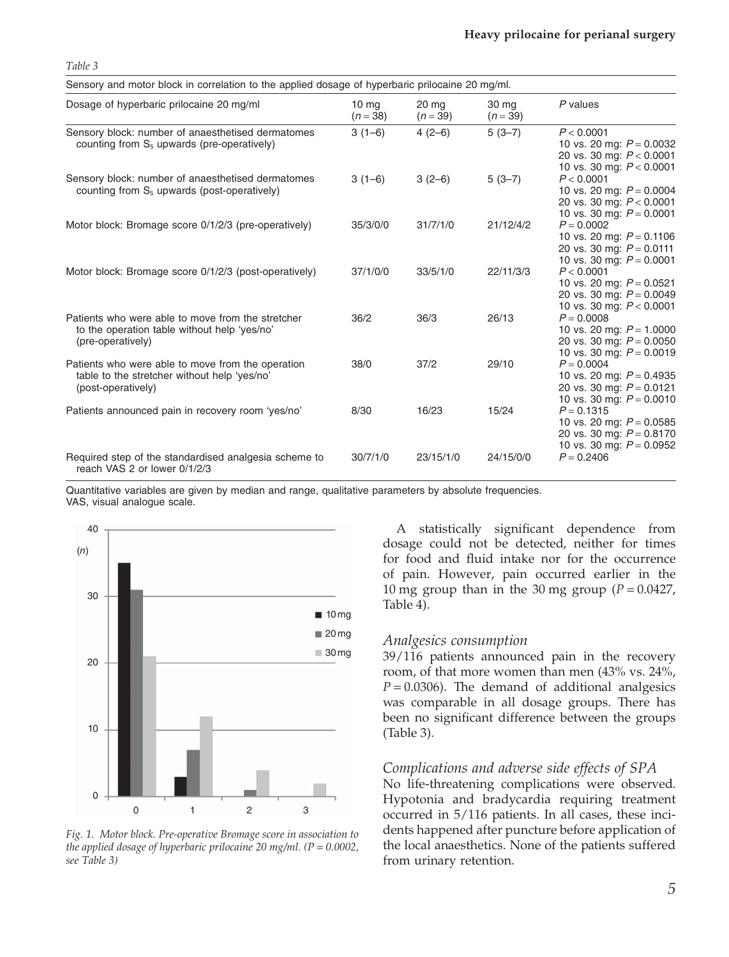| Sensory and motor block in correlation to the applied dosage of hyperbaric prilocaine 20 mg/ml.                         |                                |                     |                   |                                                                                                        |  |  |
|-------------------------------------------------------------------------------------------------------------------------|--------------------------------|---------------------|-------------------|--------------------------------------------------------------------------------------------------------|--|--|
| Dosage of hyperbaric prilocaine 20 mg/ml                                                                                | 10 <sub>mg</sub><br>$(n = 38)$ | 20 mg<br>$(n = 39)$ | 30 mg<br>$(n=39)$ | P values                                                                                               |  |  |
| Sensory block: number of anaesthetised dermatomes<br>counting from $S_5$ upwards (pre-operatively)                      | $3(1-6)$                       | $4(2-6)$            | $5(3-7)$          | P < 0.0001<br>10 vs. 20 mg: $P = 0.0032$<br>20 vs. 30 mg: $P < 0.0001$<br>10 vs. 30 mg: $P < 0.0001$   |  |  |
| Sensory block: number of anaesthetised dermatomes<br>counting from $S_5$ upwards (post-operatively)                     | $3(1-6)$                       | $3(2-6)$            | $5(3-7)$          | P < 0.0001<br>10 vs. 20 mg: $P = 0.0004$<br>20 vs. 30 mg: $P < 0.0001$<br>10 vs. 30 mg: $P = 0.0001$   |  |  |
| Motor block: Bromage score 0/1/2/3 (pre-operatively)                                                                    | 35/3/0/0                       | 31/7/1/0            | 21/12/4/2         | $P = 0.0002$<br>10 vs. 20 mg: $P = 0.1106$<br>20 vs. 30 mg: $P = 0.0111$<br>10 vs. 30 mg: $P = 0.0001$ |  |  |
| Motor block: Bromage score 0/1/2/3 (post-operatively)                                                                   | 37/1/0/0                       | 33/5/1/0            | 22/11/3/3         | P < 0.0001<br>10 vs. 20 mg: $P = 0.0521$<br>20 vs. 30 mg: $P = 0.0049$<br>10 vs. 30 mg: $P < 0.0001$   |  |  |
| Patients who were able to move from the stretcher<br>to the operation table without help 'yes/no'<br>(pre-operatively)  | 36/2                           | 36/3                | 26/13             | $P = 0.0008$<br>10 vs. 20 mg: $P = 1.0000$<br>20 vs. 30 mg: $P = 0.0050$<br>10 vs. 30 mg: $P = 0.0019$ |  |  |
| Patients who were able to move from the operation<br>table to the stretcher without help 'yes/no'<br>(post-operatively) | 38/0                           | 37/2                | 29/10             | $P = 0.0004$<br>10 vs. 20 mg: $P = 0.4935$<br>20 vs. 30 mg: $P = 0.0121$<br>10 vs. 30 mg: $P = 0.0010$ |  |  |
| Patients announced pain in recovery room 'yes/no'                                                                       | 8/30                           | 16/23               | 15/24             | $P = 0.1315$<br>10 vs. 20 mg: $P = 0.0585$<br>20 vs. 30 mg: $P = 0.8170$<br>10 vs. 30 mg: $P = 0.0952$ |  |  |
| Required step of the standardised analgesia scheme to<br>reach VAS 2 or lower 0/1/2/3                                   | 30/7/1/0                       | 23/15/1/0           | 24/15/0/0         | $P = 0.2406$                                                                                           |  |  |

Quantitative variables are given by median and range, qualitative parameters by absolute frequencies. VAS, visual analogue scale.



*Table 3*

*Fig. 1. Motor block. Pre-operative Bromage score in association to the applied dosage of hyperbaric prilocaine 20 mg/ml. (P* = *0.0002, see Table 3)*

A statistically significant dependence from dosage could not be detected, neither for times for food and fluid intake nor for the occurrence of pain. However, pain occurred earlier in the 10 mg group than in the 30 mg group  $(P = 0.0427)$ , Table 4).

#### *Analgesics consumption*

39/116 patients announced pain in the recovery room, of that more women than men (43% vs. 24%,  $P = 0.0306$ ). The demand of additional analgesics was comparable in all dosage groups. There has been no significant difference between the groups (Table 3).

### *Complications and adverse side effects of SPA*

No life-threatening complications were observed. Hypotonia and bradycardia requiring treatment occurred in 5/116 patients. In all cases, these incidents happened after puncture before application of the local anaesthetics. None of the patients suffered from urinary retention.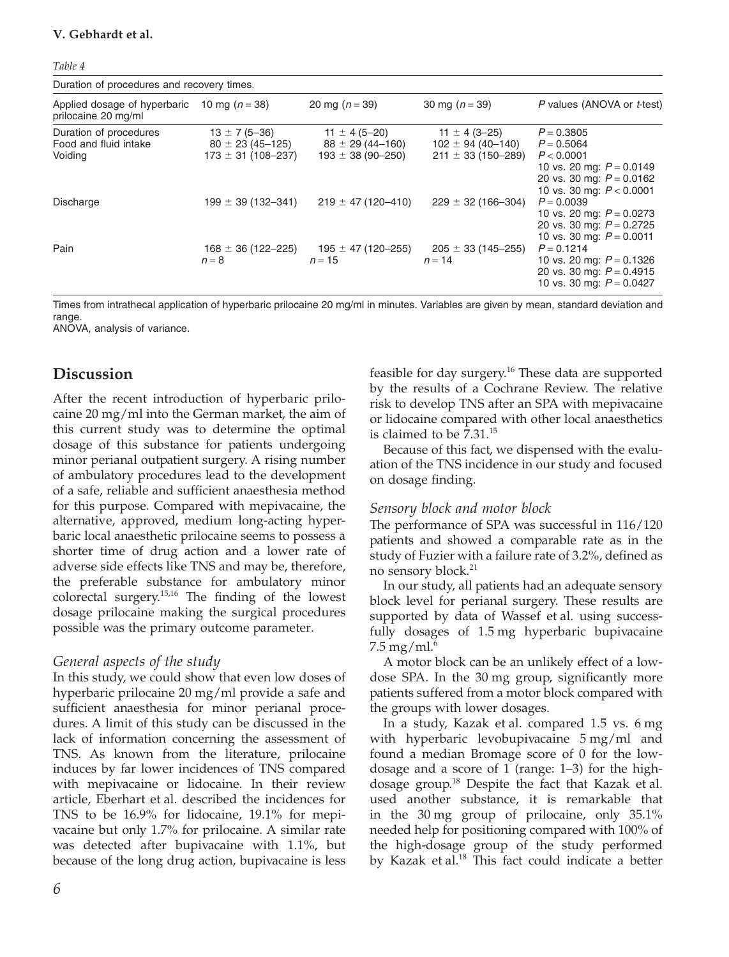| Duration of procedures and recovery times.                              |                                                                                                    |                                                                                                    |                                                                                                    |                                                                                                                                                                                                                  |  |  |
|-------------------------------------------------------------------------|----------------------------------------------------------------------------------------------------|----------------------------------------------------------------------------------------------------|----------------------------------------------------------------------------------------------------|------------------------------------------------------------------------------------------------------------------------------------------------------------------------------------------------------------------|--|--|
| Applied dosage of hyperbaric<br>prilocaine 20 mg/ml                     | 10 mg $(n = 38)$                                                                                   | 20 mg $(n = 39)$                                                                                   | 30 mg $(n = 39)$                                                                                   | P values (ANOVA or t-test)                                                                                                                                                                                       |  |  |
| Duration of procedures<br>Food and fluid intake<br>Voiding<br>Discharge | $13 \pm 7(5 - 36)$<br>$80 \pm 23(45 - 125)$<br>$173 \pm 31 (108 - 237)$<br>$199 \pm 39(132 - 341)$ | $11 \pm 4 (5 - 20)$<br>$88 \pm 29(44 - 160)$<br>$193 \pm 38 (90 - 250)$<br>$219 \pm 47(120 - 410)$ | $11 \pm 4(3 - 25)$<br>$102 \pm 94(40 - 140)$<br>$211 \pm 33(150 - 289)$<br>$229 \pm 32(166 - 304)$ | $P = 0.3805$<br>$P = 0.5064$<br>P < 0.0001<br>10 vs. 20 mg: $P = 0.0149$<br>20 vs. 30 mg: $P = 0.0162$<br>10 vs. 30 mg: $P < 0.0001$<br>$P = 0.0039$<br>10 vs. 20 mg: $P = 0.0273$<br>20 vs. 30 mg: $P = 0.2725$ |  |  |
| Pain                                                                    | $168 \pm 36 (122 - 225)$<br>$n=8$                                                                  | $195 \pm 47 (120 - 255)$<br>$n = 15$                                                               | $205 \pm 33(145 - 255)$<br>$n = 14$                                                                | 10 vs. 30 mg: $P = 0.0011$<br>$P = 0.1214$<br>10 vs. 20 mg: $P = 0.1326$<br>20 vs. 30 mg: $P = 0.4915$<br>10 vs. 30 mg: $P = 0.0427$                                                                             |  |  |

Times from intrathecal application of hyperbaric prilocaine 20 mg/ml in minutes. Variables are given by mean, standard deviation and range

ANOVA, analysis of variance.

## **Discussion**

After the recent introduction of hyperbaric prilocaine 20 mg/ml into the German market, the aim of this current study was to determine the optimal dosage of this substance for patients undergoing minor perianal outpatient surgery. A rising number of ambulatory procedures lead to the development of a safe, reliable and sufficient anaesthesia method for this purpose. Compared with mepivacaine, the alternative, approved, medium long-acting hyperbaric local anaesthetic prilocaine seems to possess a shorter time of drug action and a lower rate of adverse side effects like TNS and may be, therefore, the preferable substance for ambulatory minor colorectal surgery.15,16 The finding of the lowest dosage prilocaine making the surgical procedures possible was the primary outcome parameter.

#### *General aspects of the study*

In this study, we could show that even low doses of hyperbaric prilocaine 20 mg/ml provide a safe and sufficient anaesthesia for minor perianal procedures. A limit of this study can be discussed in the lack of information concerning the assessment of TNS. As known from the literature, prilocaine induces by far lower incidences of TNS compared with mepivacaine or lidocaine. In their review article, Eberhart et al. described the incidences for TNS to be 16.9% for lidocaine, 19.1% for mepivacaine but only 1.7% for prilocaine. A similar rate was detected after bupivacaine with 1.1%, but because of the long drug action, bupivacaine is less

feasible for day surgery.<sup>16</sup> These data are supported by the results of a Cochrane Review. The relative risk to develop TNS after an SPA with mepivacaine or lidocaine compared with other local anaesthetics is claimed to be  $7.31^{15}$ 

Because of this fact, we dispensed with the evaluation of the TNS incidence in our study and focused on dosage finding.

#### *Sensory block and motor block*

The performance of SPA was successful in 116/120 patients and showed a comparable rate as in the study of Fuzier with a failure rate of 3.2%, defined as no sensory block.<sup>21</sup>

In our study, all patients had an adequate sensory block level for perianal surgery. These results are supported by data of Wassef et al. using successfully dosages of 1.5 mg hyperbaric bupivacaine 7.5 mg/ml. $^{6}$ 

A motor block can be an unlikely effect of a lowdose SPA. In the 30 mg group, significantly more patients suffered from a motor block compared with the groups with lower dosages.

In a study, Kazak et al. compared 1.5 vs. 6 mg with hyperbaric levobupivacaine 5 mg/ml and found a median Bromage score of 0 for the lowdosage and a score of 1 (range: 1–3) for the highdosage group.<sup>18</sup> Despite the fact that Kazak et al. used another substance, it is remarkable that in the 30 mg group of prilocaine, only 35.1% needed help for positioning compared with 100% of the high-dosage group of the study performed by Kazak et al.<sup>18</sup> This fact could indicate a better

*Table 4*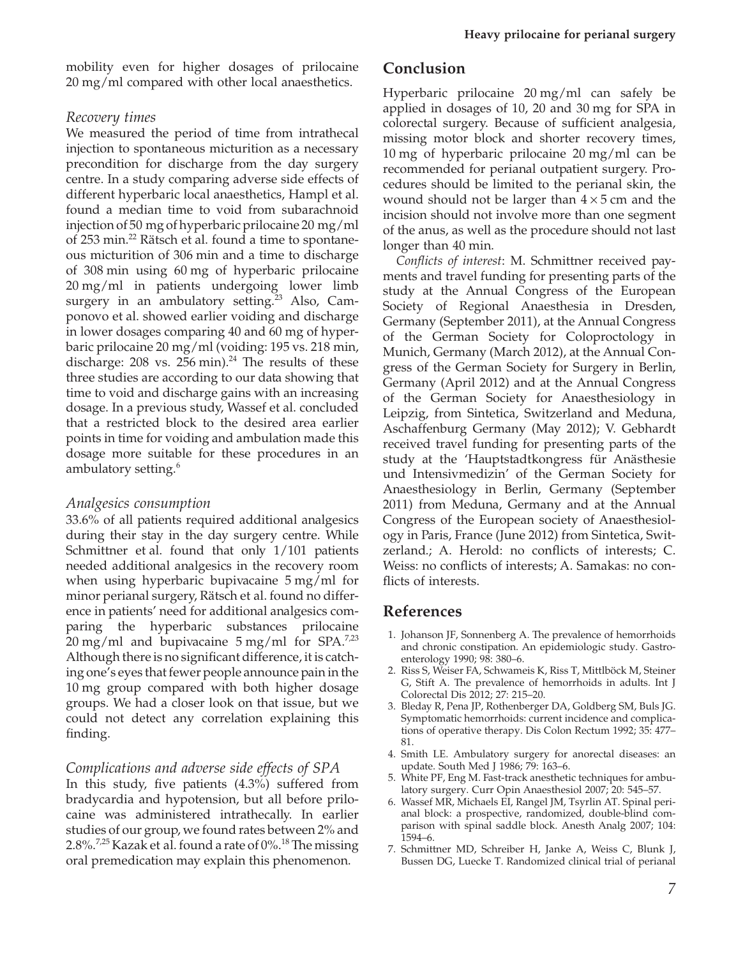mobility even for higher dosages of prilocaine 20 mg/ml compared with other local anaesthetics.

## *Recovery times*

We measured the period of time from intrathecal injection to spontaneous micturition as a necessary precondition for discharge from the day surgery centre. In a study comparing adverse side effects of different hyperbaric local anaesthetics, Hampl et al. found a median time to void from subarachnoid injection of 50 mg of hyperbaric prilocaine 20 mg/ml of 253 min.<sup>22</sup> Rätsch et al. found a time to spontaneous micturition of 306 min and a time to discharge of 308 min using 60 mg of hyperbaric prilocaine 20 mg/ml in patients undergoing lower limb surgery in an ambulatory setting.<sup>23</sup> Also, Camponovo et al. showed earlier voiding and discharge in lower dosages comparing 40 and 60 mg of hyperbaric prilocaine 20 mg/ml (voiding: 195 vs. 218 min, discharge:  $208$  vs.  $256$  min).<sup>24</sup> The results of these three studies are according to our data showing that time to void and discharge gains with an increasing dosage. In a previous study, Wassef et al. concluded that a restricted block to the desired area earlier points in time for voiding and ambulation made this dosage more suitable for these procedures in an ambulatory setting.<sup>6</sup>

### *Analgesics consumption*

33.6% of all patients required additional analgesics during their stay in the day surgery centre. While Schmittner et al. found that only 1/101 patients needed additional analgesics in the recovery room when using hyperbaric bupivacaine 5 mg/ml for minor perianal surgery, Rätsch et al. found no difference in patients' need for additional analgesics comparing the hyperbaric substances prilocaine 20 mg/ml and bupivacaine  $5 \text{ mg/ml}$  for SPA.<sup>7,23</sup> Although there is no significant difference, it is catching one's eyes that fewer people announce pain in the 10 mg group compared with both higher dosage groups. We had a closer look on that issue, but we could not detect any correlation explaining this finding.

### *Complications and adverse side effects of SPA*

In this study, five patients (4.3%) suffered from bradycardia and hypotension, but all before prilocaine was administered intrathecally. In earlier studies of our group, we found rates between 2% and 2.8%.<sup>7,25</sup> Kazak et al. found a rate of 0%.<sup>18</sup> The missing oral premedication may explain this phenomenon.

# **Conclusion**

Hyperbaric prilocaine 20 mg/ml can safely be applied in dosages of 10, 20 and 30 mg for SPA in colorectal surgery. Because of sufficient analgesia, missing motor block and shorter recovery times, 10 mg of hyperbaric prilocaine 20 mg/ml can be recommended for perianal outpatient surgery. Procedures should be limited to the perianal skin, the wound should not be larger than  $4 \times 5$  cm and the incision should not involve more than one segment of the anus, as well as the procedure should not last longer than 40 min.

*Conflicts of interest*: M. Schmittner received payments and travel funding for presenting parts of the study at the Annual Congress of the European Society of Regional Anaesthesia in Dresden, Germany (September 2011), at the Annual Congress of the German Society for Coloproctology in Munich, Germany (March 2012), at the Annual Congress of the German Society for Surgery in Berlin, Germany (April 2012) and at the Annual Congress of the German Society for Anaesthesiology in Leipzig, from Sintetica, Switzerland and Meduna, Aschaffenburg Germany (May 2012); V. Gebhardt received travel funding for presenting parts of the study at the 'Hauptstadtkongress für Anästhesie und Intensivmedizin' of the German Society for Anaesthesiology in Berlin, Germany (September 2011) from Meduna, Germany and at the Annual Congress of the European society of Anaesthesiology in Paris, France (June 2012) from Sintetica, Switzerland.; A. Herold: no conflicts of interests; C. Weiss: no conflicts of interests; A. Samakas: no conflicts of interests.

# **References**

- 1. Johanson JF, Sonnenberg A. The prevalence of hemorrhoids and chronic constipation. An epidemiologic study. Gastroenterology 1990; 98: 380–6.
- 2. Riss S, Weiser FA, Schwameis K, Riss T, Mittlböck M, Steiner G, Stift A. The prevalence of hemorrhoids in adults. Int J Colorectal Dis 2012; 27: 215–20.
- 3. Bleday R, Pena JP, Rothenberger DA, Goldberg SM, Buls JG. Symptomatic hemorrhoids: current incidence and complications of operative therapy. Dis Colon Rectum 1992; 35: 477– 81.
- 4. Smith LE. Ambulatory surgery for anorectal diseases: an update. South Med J 1986; 79: 163–6.
- 5. White PF, Eng M. Fast-track anesthetic techniques for ambulatory surgery. Curr Opin Anaesthesiol 2007; 20: 545–57.
- 6. Wassef MR, Michaels EI, Rangel JM, Tsyrlin AT. Spinal perianal block: a prospective, randomized, double-blind comparison with spinal saddle block. Anesth Analg 2007; 104: 1594–6.
- 7. Schmittner MD, Schreiber H, Janke A, Weiss C, Blunk J, Bussen DG, Luecke T. Randomized clinical trial of perianal